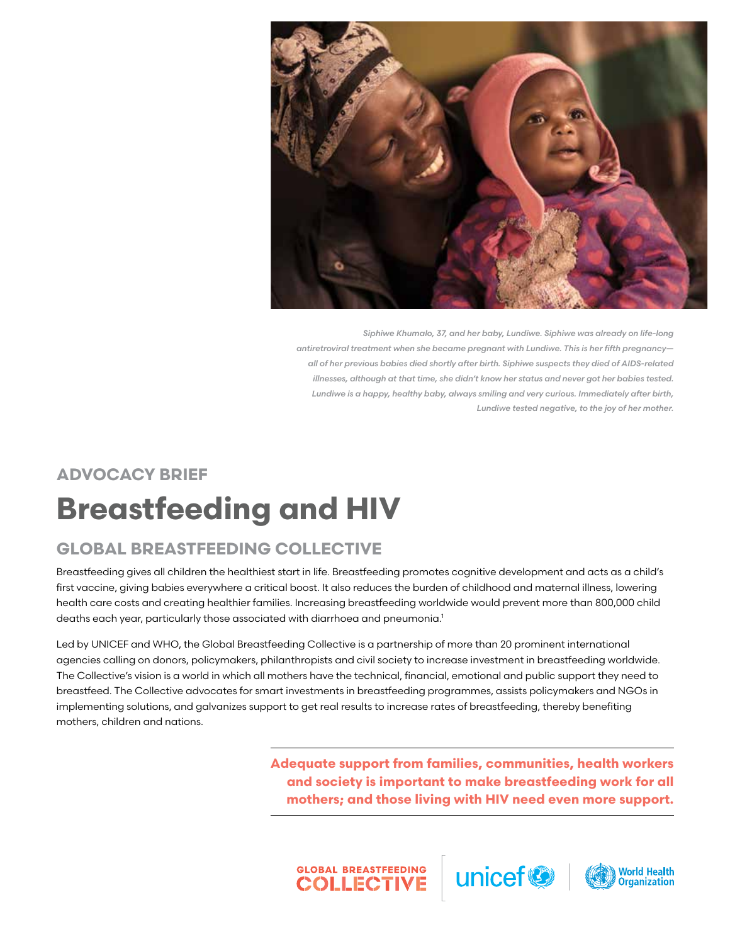

*Siphiwe Khumalo, 37, and her baby, Lundiwe. Siphiwe was already on life-long antiretroviral treatment when she became pregnant with Lundiwe. This is her fifth pregnancy all of her previous babies died shortly after birth. Siphiwe suspects they died of AIDS-related illnesses, although at that time, she didn't know her status and never got her babies tested. Lundiwe is a happy, healthy baby, always smiling and very curious. Immediately after birth, Lundiwe tested negative, to the joy of her mother.*

## **Advocacy Brief Breastfeeding and HIV**

## **Global Breastfeeding COLLECTIVE**

Breastfeeding gives all children the healthiest start in life. Breastfeeding promotes cognitive development and acts as a child's first vaccine, giving babies everywhere a critical boost. It also reduces the burden of childhood and maternal illness, lowering health care costs and creating healthier families. Increasing breastfeeding worldwide would prevent more than 800,000 child deaths each year, particularly those associated with diarrhoea and pneumonia.<sup>1</sup>

Led by UNICEF and WHO, the Global Breastfeeding Collective is a partnership of more than 20 prominent international agencies calling on donors, policymakers, philanthropists and civil society to increase investment in breastfeeding worldwide. The Collective's vision is a world in which all mothers have the technical, financial, emotional and public support they need to breastfeed. The Collective advocates for smart investments in breastfeeding programmes, assists policymakers and NGOs in implementing solutions, and galvanizes support to get real results to increase rates of breastfeeding, thereby benefiting mothers, children and nations.

> **Adequate support from families, communities, health workers and society is important to make breastfeeding work for all mothers; and those living with HIV need even more support.**

GLOBAL BREASTFEEDING | UNICEF



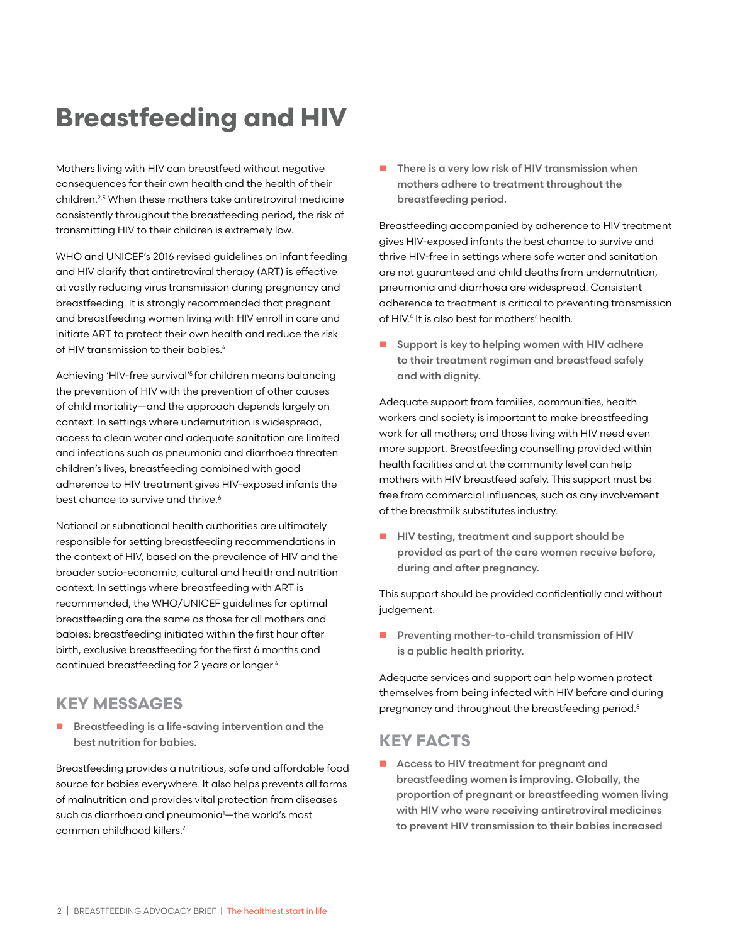# **Breastfeeding and HIV**

Mothers living with HIV can breastfeed without negative consequences for their own health and the health of their children.2,3 When these mothers take antiretroviral medicine consistently throughout the breastfeeding period, the risk of transmitting HIV to their children is extremely low.

WHO and UNICEF's 2016 revised guidelines on infant feeding and HIV clarify that antiretroviral therapy (ART) is effective at vastly reducing virus transmission during pregnancy and breastfeeding. It is strongly recommended that pregnant and breastfeeding women living with HIV enroll in care and initiate ART to protect their own health and reduce the risk of HIV transmission to their babies.<sup>4</sup>

Achieving 'HIV-free survival'<sup>5</sup> for children means balancing the prevention of HIV with the prevention of other causes of child mortality—and the approach depends largely on context. In settings where undernutrition is widespread, access to clean water and adequate sanitation are limited and infections such as pneumonia and diarrhoea threaten children's lives, breastfeeding combined with good adherence to HIV treatment gives HIV-exposed infants the best chance to survive and thrive.<sup>6</sup>

National or subnational health authorities are ultimately responsible for setting breastfeeding recommendations in the context of HIV, based on the prevalence of HIV and the broader socio-economic, cultural and health and nutrition context. In settings where breastfeeding with ART is recommended, the WHO/UNICEF guidelines for optimal breastfeeding are the same as those for all mothers and babies: breastfeeding initiated within the first hour after birth, exclusive breastfeeding for the first 6 months and continued breastfeeding for 2 years or longer.<sup>4</sup>

## **Key Messages**

 $\blacksquare$  Breastfeeding is a life-saving intervention and the best nutrition for babies.

Breastfeeding provides a nutritious, safe and affordable food source for babies everywhere. It also helps prevents all forms of malnutrition and provides vital protection from diseases such as diarrhoea and pneumonia1 —the world's most common childhood killers.7

 $\blacksquare$  There is a very low risk of HIV transmission when mothers adhere to treatment throughout the breastfeeding period.

Breastfeeding accompanied by adherence to HIV treatment gives HIV-exposed infants the best chance to survive and thrive HIV-free in settings where safe water and sanitation are not guaranteed and child deaths from undernutrition, pneumonia and diarrhoea are widespread. Consistent adherence to treatment is critical to preventing transmission of HIV.4 It is also best for mothers' health.

 $\blacksquare$  Support is key to helping women with HIV adhere to their treatment regimen and breastfeed safely and with dignity.

Adequate support from families, communities, health workers and society is important to make breastfeeding work for all mothers; and those living with HIV need even more support. Breastfeeding counselling provided within health facilities and at the community level can help mothers with HIV breastfeed safely. This support must be free from commercial influences, such as any involvement of the breastmilk substitutes industry.

**HIV testing, treatment and support should be** provided as part of the care women receive before, during and after pregnancy.

This support should be provided confidentially and without judgement.

 $\blacksquare$  Preventing mother-to-child transmission of HIV is a public health priority.

Adequate services and support can help women protect themselves from being infected with HIV before and during pregnancy and throughout the breastfeeding period.8

### **Key Facts**

■ Access to HIV treatment for pregnant and breastfeeding women is improving. Globally, the proportion of pregnant or breastfeeding women living with HIV who were receiving antiretroviral medicines to prevent HIV transmission to their babies increased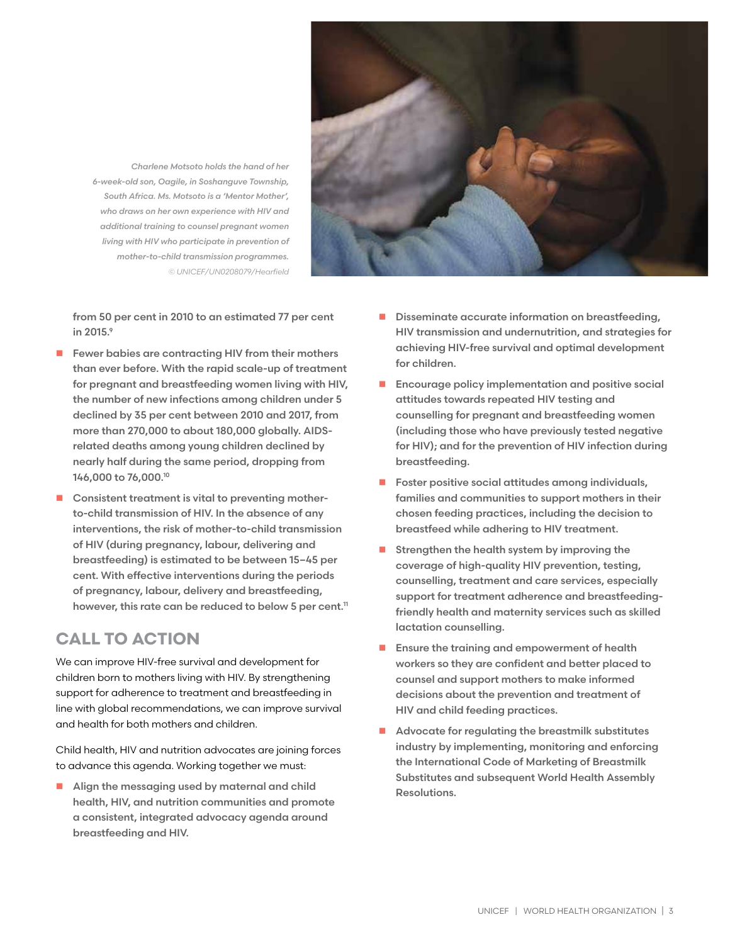

*Charlene Motsoto holds the hand of her 6-week-old son, Oagile, in Soshanguve Township, South Africa. Ms. Motsoto is a 'Mentor Mother', who draws on her own experience with HIV and additional training to counsel pregnant women living with HIV who participate in prevention of mother-to-child transmission programmes. © UNICEF/UN0208079/Hearfield*

from 50 per cent in 2010 to an estimated 77 per cent in 2015.9

- Fewer babies are contracting HIV from their mothers than ever before. With the rapid scale-up of treatment for pregnant and breastfeeding women living with HIV, the number of new infections among children under 5 declined by 35 per cent between 2010 and 2017, from more than 270,000 to about 180,000 globally. AIDSrelated deaths among young children declined by nearly half during the same period, dropping from 146,000 to 76,000.10
- Consistent treatment is vital to preventing motherto-child transmission of HIV. In the absence of any interventions, the risk of mother-to-child transmission of HIV (during pregnancy, labour, delivering and breastfeeding) is estimated to be between 15–45 per cent. With effective interventions during the periods of pregnancy, labour, delivery and breastfeeding, however, this rate can be reduced to below 5 per cent.<sup>11</sup>

## **CALL TO ACTION**

We can improve HIV-free survival and development for children born to mothers living with HIV. By strengthening support for adherence to treatment and breastfeeding in line with global recommendations, we can improve survival and health for both mothers and children.

Child health, HIV and nutrition advocates are joining forces to advance this agenda. Working together we must:

■ Align the messaging used by maternal and child health, HIV, and nutrition communities and promote a consistent, integrated advocacy agenda around breastfeeding and HIV.

- **n** Disseminate accurate information on breastfeeding, HIV transmission and undernutrition, and strategies for achieving HIV-free survival and optimal development for children.
- $\blacksquare$  Encourage policy implementation and positive social attitudes towards repeated HIV testing and counselling for pregnant and breastfeeding women (including those who have previously tested negative for HIV); and for the prevention of HIV infection during breastfeeding.
- Foster positive social attitudes among individuals, families and communities to support mothers in their chosen feeding practices, including the decision to breastfeed while adhering to HIV treatment.
- Strengthen the health system by improving the coverage of high-quality HIV prevention, testing, counselling, treatment and care services, especially support for treatment adherence and breastfeedingfriendly health and maternity services such as skilled lactation counselling.
- Ensure the training and empowerment of health workers so they are confident and better placed to counsel and support mothers to make informed decisions about the prevention and treatment of HIV and child feeding practices.
- Advocate for regulating the breastmilk substitutes industry by implementing, monitoring and enforcing the International Code of Marketing of Breastmilk Substitutes and subsequent World Health Assembly Resolutions.